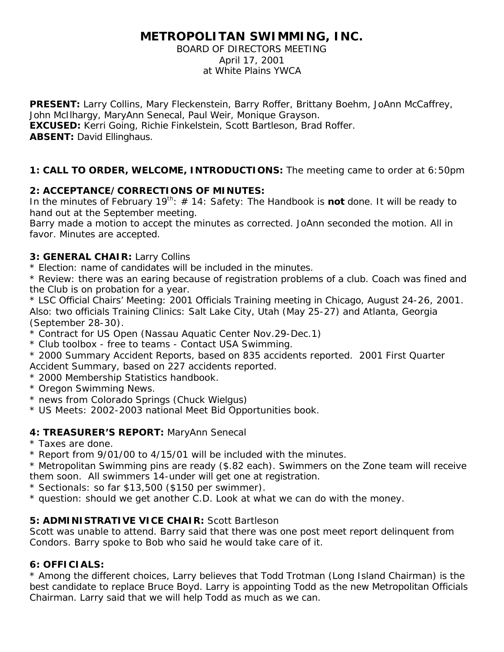# **METROPOLITAN SWIMMING, INC.**

#### BOARD OF DIRECTORS MEETING April 17, 2001 at White Plains YWCA

PRESENT: Larry Collins, Mary Fleckenstein, Barry Roffer, Brittany Boehm, JoAnn McCaffrey, John McIlhargy, MaryAnn Senecal, Paul Weir, Monique Grayson. **EXCUSED:** Kerri Going, Richie Finkelstein, Scott Bartleson, Brad Roffer. **ABSENT:** David Ellinghaus.

# **1: CALL TO ORDER, WELCOME, INTRODUCTIONS:** The meeting came to order at 6:50pm

### **2: ACCEPTANCE/CORRECTIONS OF MINUTES:**

In the minutes of February 19<sup>th</sup>: # 14: Safety: The Handbook is **not** done. It will be ready to hand out at the September meeting.

Barry made a motion to accept the minutes as corrected. JoAnn seconded the motion. All in favor. Minutes are accepted.

### **3: GENERAL CHAIR:** Larry Collins

\* Election: name of candidates will be included in the minutes.

\* Review: there was an earing because of registration problems of a club. Coach was fined and the Club is on probation for a year.

\* LSC Official Chairs' Meeting: 2001 Officials Training meeting in Chicago, August 24-26, 2001. Also: two officials Training Clinics: Salt Lake City, Utah (May 25-27) and Atlanta, Georgia (September 28-30).

- \* Contract for US Open (Nassau Aquatic Center Nov.29-Dec.1)
- \* Club toolbox free to teams Contact USA Swimming.
- \* 2000 Summary Accident Reports, based on 835 accidents reported. 2001 First Quarter Accident Summary, based on 227 accidents reported.
- \* 2000 Membership Statistics handbook.
- \* Oregon Swimming News.
- \* news from Colorado Springs (Chuck Wielgus)
- \* US Meets: 2002-2003 national Meet Bid Opportunities book.

# **4: TREASURER'S REPORT:** MaryAnn Senecal

- \* Taxes are done.
- \* Report from 9/01/00 to 4/15/01 will be included with the minutes.

\* Metropolitan Swimming pins are ready (\$.82 each). Swimmers on the Zone team will receive them soon. All swimmers 14-under will get one at registration.

- \* Sectionals: so far \$13,500 (\$150 per swimmer).
- \* question: should we get another C.D. Look at what we can do with the money.

# **5: ADMINISTRATIVE VICE CHAIR:** Scott Bartleson

Scott was unable to attend. Barry said that there was one post meet report delinquent from Condors. Barry spoke to Bob who said he would take care of it.

# **6: OFFICIALS:**

\* Among the different choices, Larry believes that Todd Trotman (Long Island Chairman) is the best candidate to replace Bruce Boyd. Larry is appointing Todd as the new Metropolitan Officials Chairman. Larry said that we will help Todd as much as we can.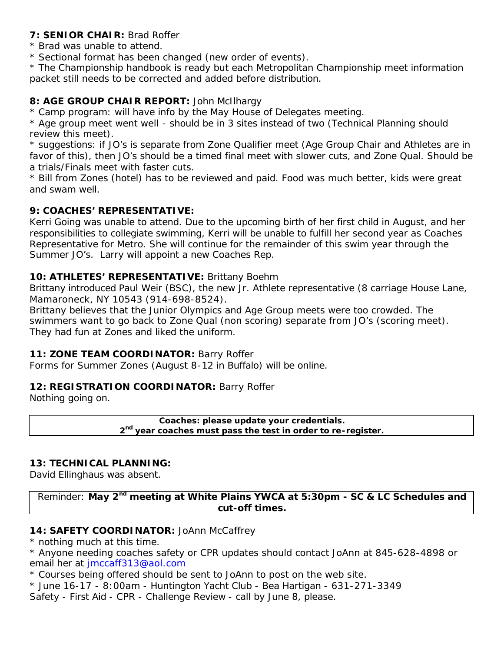### **7: SENIOR CHAIR:** Brad Roffer

- \* Brad was unable to attend.
- \* Sectional format has been changed (new order of events).

\* The Championship handbook is ready but each Metropolitan Championship meet information packet still needs to be corrected and added before distribution.

# **8: AGE GROUP CHAIR REPORT:** John McIlhargy

\* Camp program: will have info by the May House of Delegates meeting.

\* Age group meet went well - should be in 3 sites instead of two (Technical Planning should review this meet).

\* suggestions: if JO's is separate from Zone Qualifier meet (Age Group Chair and Athletes are in favor of this), then JO's should be a timed final meet with slower cuts, and Zone Qual. Should be a trials/Finals meet with faster cuts.

\* Bill from Zones (hotel) has to be reviewed and paid. Food was much better, kids were great and swam well.

### **9: COACHES' REPRESENTATIVE:**

Kerri Going was unable to attend. Due to the upcoming birth of her first child in August, and her responsibilities to collegiate swimming, Kerri will be unable to fulfill her second year as Coaches Representative for Metro. She will continue for the remainder of this swim year through the Summer JO's. Larry will appoint a new Coaches Rep.

### **10: ATHLETES' REPRESENTATIVE:** Brittany Boehm

Brittany introduced Paul Weir (BSC), the new Jr. Athlete representative (8 carriage House Lane, Mamaroneck, NY 10543 (914-698-8524).

Brittany believes that the Junior Olympics and Age Group meets were too crowded. The swimmers want to go back to Zone Qual (non scoring) separate from JO's (scoring meet). They had fun at Zones and liked the uniform.

### **11: ZONE TEAM COORDINATOR:** Barry Roffer

Forms for Summer Zones (August 8-12 in Buffalo) will be online.

### **12: REGISTRATION COORDINATOR:** Barry Roffer

Nothing going on.

**Coaches: please update your credentials. 2 nd year coaches must pass the test in order to re-register.**

### **13: TECHNICAL PLANNING:**

David Ellinghaus was absent.

Reminder: **May 2nd meeting at White Plains YWCA at 5:30pm - SC & LC Schedules and cut-off times.**

### 14: **SAFETY COORDINATOR:** JoAnn McCaffrey

\* nothing much at this time.

\* Anyone needing coaches safety or CPR updates should contact JoAnn at 845-628-4898 or email her at jmccaff313@aol.com

\* Courses being offered should be sent to JoAnn to post on the web site.

\* June 16-17 - 8:00am - Huntington Yacht Club - Bea Hartigan - 631-271-3349

Safety - First Aid - CPR - Challenge Review - call by June 8, please.